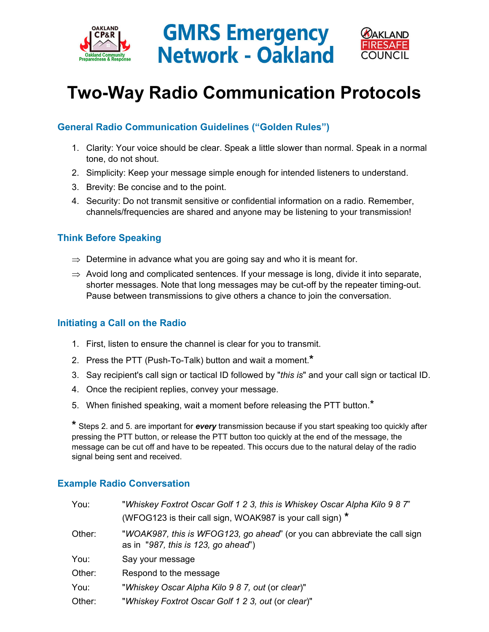





# **Two-Way Radio Communication Protocols**

## **General Radio Communication Guidelines ("Golden Rules")**

- 1. Clarity: Your voice should be clear. Speak a little slower than normal. Speak in a normal tone, do not shout.
- 2. Simplicity: Keep your message simple enough for intended listeners to understand.
- 3. Brevity: Be concise and to the point.
- 4. Security: Do not transmit sensitive or confidential information on a radio. Remember, channels/frequencies are shared and anyone may be listening to your transmission!

### **Think Before Speaking**

- $\Rightarrow$  Determine in advance what you are going say and who it is meant for.
- $\Rightarrow$  Avoid long and complicated sentences. If your message is long, divide it into separate, shorter messages. Note that long messages may be cut-off by the repeater timing-out. Pause between transmissions to give others a chance to join the conversation.

### **Initiating a Call on the Radio**

- 1. First, listen to ensure the channel is clear for you to transmit.
- 2. Press the PTT (Push-To-Talk) button and wait a moment.**\***
- 3. Say recipient's call sign or tactical ID followed by "*this is*" and your call sign or tactical ID.
- 4. Once the recipient replies, convey your message.
- 5. When finished speaking, wait a moment before releasing the PTT button.<sup>\*</sup>

**\*** Steps 2. and 5. are important for *every* transmission because if you start speaking too quickly after pressing the PTT button, or release the PTT button too quickly at the end of the message, the message can be cut off and have to be repeated. This occurs due to the natural delay of the radio signal being sent and received.

#### **Example Radio Conversation**

| You:   | "Whiskey Foxtrot Oscar Golf 1 2 3, this is Whiskey Oscar Alpha Kilo 9 8 7"<br>(WFOG123 is their call sign, WOAK987 is your call sign) * |  |
|--------|-----------------------------------------------------------------------------------------------------------------------------------------|--|
| Other: | "WOAK987, this is WFOG123, go ahead" (or you can abbreviate the call sign<br>as in $"987$ , this is 123, go ahead")                     |  |
| You:   | Say your message                                                                                                                        |  |
| Other: | Respond to the message                                                                                                                  |  |
| You:   | "Whiskey Oscar Alpha Kilo 9 8 7, out (or clear)"                                                                                        |  |
| Other: | "Whiskey Foxtrot Oscar Golf 1 2 3, out (or clear)"                                                                                      |  |